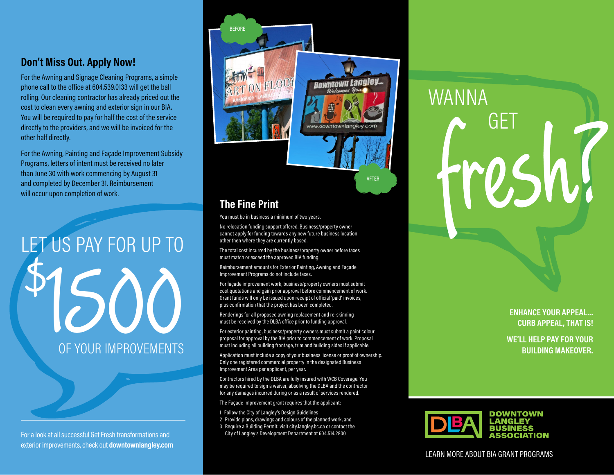# **Don't Miss Out. Apply Now!**

For the Awning and Signage Cleaning Programs, a simple phone call to the office at 604.539.0133 will get the ball rolling. Our cleaning contractor has already priced out the cost to clean every awning and exterior sign in our BIA. You will be required to pay for half the cost of the service directly to the providers, and we will be invoiced for the other half directly.

For the Awning, Painting and Façade Improvement Subsidy Programs, letters of intent must be received no later than June 30 with work commencing by August 31 and completed by December 31. Reimbursement will occur upon completion of work.

# OF YOUR IMPROVEMENTS LET US PAY FOR UP TO  $\vec{\phi}$

For a look at all successful Get Fresh transformations and exterior improvements, check out **downtownlangley.com**



# **The Fine Print**

You must be in business a minimum of two years.

No relocation funding support offered. Business/property owner cannot apply for funding towards any new future business location other then where they are currently based.

The total cost incurred by the business/property owner before taxes must match or exceed the approved BIA funding.

Reimbursement amounts for Exterior Painting, Awning and Façade Improvement Programs do not include taxes.

For façade improvement work, business/property owners must submit cost quotations and gain prior approval before commencement of work. Grant funds will only be issued upon receipt of official 'paid' invoices, plus confirmation that the project has been completed.

Renderings for all proposed awning replacement and re-skinning must be received by the DLBA office prior to funding approval.

For exterior painting, business/property owners must submit a paint colour proposal for approval by the BIA prior to commencement of work. Proposal must including all building frontage, trim and building sides if applicable.

Application must include a copy of your business license or proof of ownership. Only one registered commercial property in the designated Business Improvement Area per applicant, per year.

Contractors hired by the DLBA are fully insured with WCB Coverage. You may be required to sign a waiver, absolving the DLBA and the contractor for any damages incurred during or as a result of services rendered.

The Façade Improvement grant requires that the applicant:

- 1 Follow the City of Langley's Design Guidelines
- 2 Provide plans, drawings and colours of the planned work, and
- 3 Require a Building Permit: visit city.langley.bc.ca or contact the City of Langley's Development Department at 604.514.2800

# WANNA GET

#### **ENHANCE YOUR APPEAL... CURB APPEAL, THAT IS!**

**WE'LL HELP PAY FOR YOUR BUILDING MAKEOVER.**